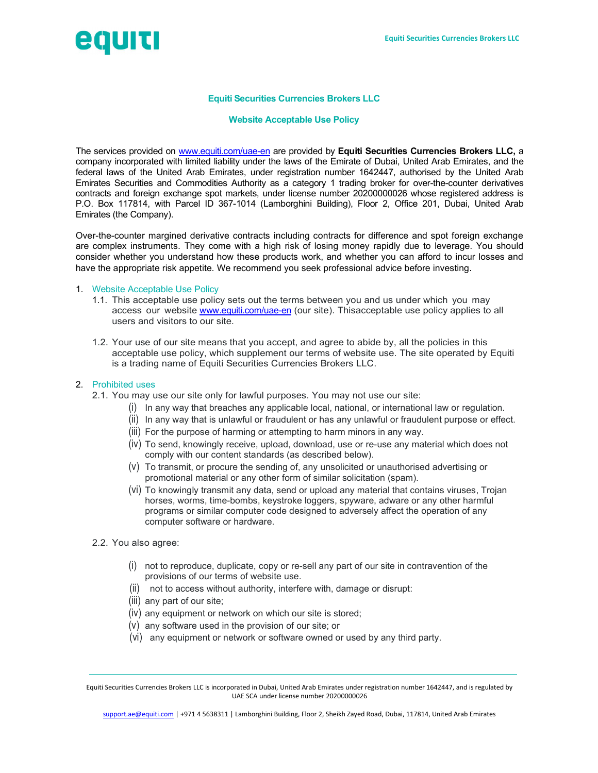

# Equiti Securities Currencies Brokers LLC

### Website Acceptable Use Policy

The services provided on www.equiti.com/uae-en are provided by Equiti Securities Currencies Brokers LLC, a company incorporated with limited liability under the laws of the Emirate of Dubai, United Arab Emirates, and the federal laws of the United Arab Emirates, under registration number 1642447, authorised by the United Arab Emirates Securities and Commodities Authority as a category 1 trading broker for over-the-counter derivatives contracts and foreign exchange spot markets, under license number 20200000026 whose registered address is P.O. Box 117814, with Parcel ID 367-1014 (Lamborghini Building), Floor 2, Office 201, Dubai, United Arab Emirates (the Company).

Over-the-counter margined derivative contracts including contracts for difference and spot foreign exchange are complex instruments. They come with a high risk of losing money rapidly due to leverage. You should consider whether you understand how these products work, and whether you can afford to incur losses and have the appropriate risk appetite. We recommend you seek professional advice before investing.

#### 1. Website Acceptable Use Policy

- 1.1. This acceptable use policy sets out the terms between you and us under which you may access our website www.equiti.com/uae-en (our site). This acceptable use policy applies to all users and visitors to our site.
- 1.2. Your use of our site means that you accept, and agree to abide by, all the policies in this acceptable use policy, which supplement our terms of website use. The site operated by Equiti is a trading name of Equiti Securities Currencies Brokers LLC.

### 2. Prohibited uses

- 2.1. You may use our site only for lawful purposes. You may not use our site:
	- (i) In any way that breaches any applicable local, national, or international law or regulation.
	- (ii) In any way that is unlawful or fraudulent or has any unlawful or fraudulent purpose or effect.
	- (iii) For the purpose of harming or attempting to harm minors in any way.
	- (iv) To send, knowingly receive, upload, download, use or re-use any material which does not comply with our content standards (as described below).
	- (v) To transmit, or procure the sending of, any unsolicited or unauthorised advertising or promotional material or any other form of similar solicitation (spam).
	- (vi) To knowingly transmit any data, send or upload any material that contains viruses, Trojan horses, worms, time-bombs, keystroke loggers, spyware, adware or any other harmful programs or similar computer code designed to adversely affect the operation of any computer software or hardware.
- 2.2. You also agree:
	- (i) not to reproduce, duplicate, copy or re-sell any part of our site in contravention of the provisions of our terms of website use.
	- (ii) not to access without authority, interfere with, damage or disrupt:
	- (iii) any part of our site;
	- (iv) any equipment or network on which our site is stored;
	- (v) any software used in the provision of our site; or
	- (vi) any equipment or network or software owned or used by any third party.

Equiti Securities Currencies Brokers LLC is incorporated in Dubai, United Arab Emirates under registration number 1642447, and is regulated by UAE SCA under license number 20200000026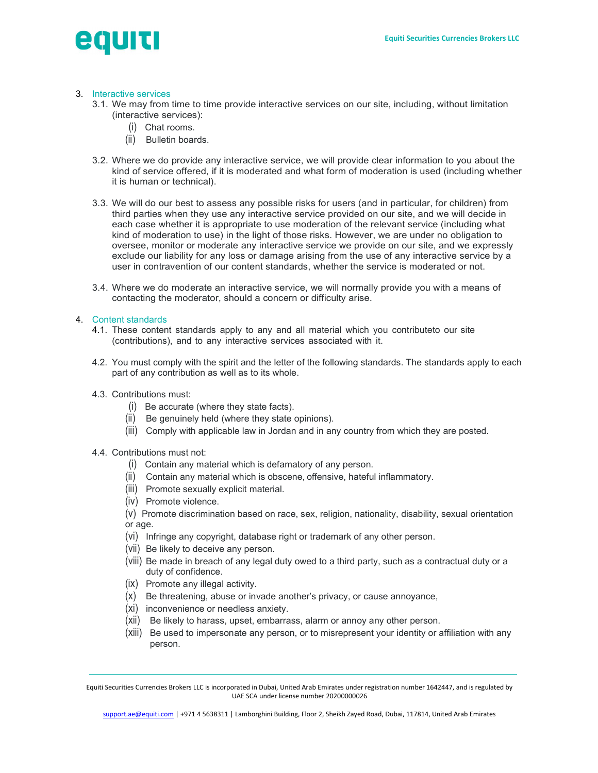# equid

# 3. Interactive services

- 3.1. We may from time to time provide interactive services on our site, including, without limitation (interactive services):
	- (i) Chat rooms.
	- (ii) Bulletin boards.
- 3.2. Where we do provide any interactive service, we will provide clear information to you about the kind of service offered, if it is moderated and what form of moderation is used (including whether it is human or technical).
- 3.3. We will do our best to assess any possible risks for users (and in particular, for children) from third parties when they use any interactive service provided on our site, and we will decide in each case whether it is appropriate to use moderation of the relevant service (including what kind of moderation to use) in the light of those risks. However, we are under no obligation to oversee, monitor or moderate any interactive service we provide on our site, and we expressly exclude our liability for any loss or damage arising from the use of any interactive service by a user in contravention of our content standards, whether the service is moderated or not.
- 3.4. Where we do moderate an interactive service, we will normally provide you with a means of contacting the moderator, should a concern or difficulty arise.

## 4. Content standards

- 4.1. These content standards apply to any and all material which you contributeto our site (contributions), and to any interactive services associated with it.
- 4.2. You must comply with the spirit and the letter of the following standards. The standards apply to each part of any contribution as well as to its whole.
- 4.3. Contributions must:
	- (i) Be accurate (where they state facts).
	- (ii) Be genuinely held (where they state opinions).
	- (iii) Comply with applicable law in Jordan and in any country from which they are posted.

# 4.4. Contributions must not:

- (i) Contain any material which is defamatory of any person.
- (ii) Contain any material which is obscene, offensive, hateful inflammatory.
- (iii) Promote sexually explicit material.
- (iv) Promote violence.
- (v) Promote discrimination based on race, sex, religion, nationality, disability, sexual orientation or age.
- (vi) Infringe any copyright, database right or trademark of any other person.
- (vii) Be likely to deceive any person.
- (viii) Be made in breach of any legal duty owed to a third party, such as a contractual duty or a duty of confidence.
- (ix) Promote any illegal activity.
- (x) Be threatening, abuse or invade another's privacy, or cause annoyance,
- (xi) inconvenience or needless anxiety.
- (xii) Be likely to harass, upset, embarrass, alarm or annoy any other person.
- (xiii) Be used to impersonate any person, or to misrepresent your identity or affiliation with any person.

Equiti Securities Currencies Brokers LLC is incorporated in Dubai, United Arab Emirates under registration number 1642447, and is regulated by UAE SCA under license number 20200000026